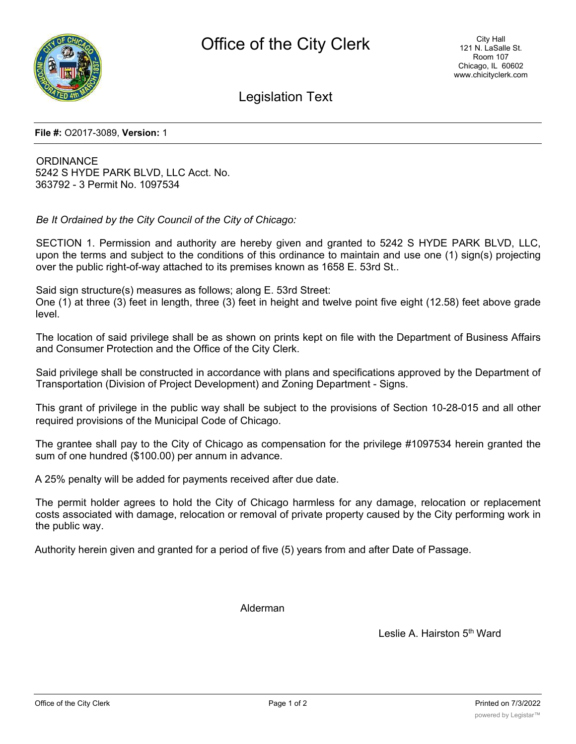

Legislation Text

**File #:** O2017-3089, **Version:** 1

**ORDINANCE** 5242 S HYDE PARK BLVD, LLC Acct. No. 363792 - 3 Permit No. 1097534

*Be It Ordained by the City Council of the City of Chicago:*

SECTION 1. Permission and authority are hereby given and granted to 5242 S HYDE PARK BLVD, LLC, upon the terms and subject to the conditions of this ordinance to maintain and use one (1) sign(s) projecting over the public right-of-way attached to its premises known as 1658 E. 53rd St..

Said sign structure(s) measures as follows; along E. 53rd Street:

One (1) at three (3) feet in length, three (3) feet in height and twelve point five eight (12.58) feet above grade level.

The location of said privilege shall be as shown on prints kept on file with the Department of Business Affairs and Consumer Protection and the Office of the City Clerk.

Said privilege shall be constructed in accordance with plans and specifications approved by the Department of Transportation (Division of Project Development) and Zoning Department - Signs.

This grant of privilege in the public way shall be subject to the provisions of Section 10-28-015 and all other required provisions of the Municipal Code of Chicago.

The grantee shall pay to the City of Chicago as compensation for the privilege #1097534 herein granted the sum of one hundred (\$100.00) per annum in advance.

A 25% penalty will be added for payments received after due date.

The permit holder agrees to hold the City of Chicago harmless for any damage, relocation or replacement costs associated with damage, relocation or removal of private property caused by the City performing work in the public way.

Authority herein given and granted for a period of five (5) years from and after Date of Passage.

Alderman

Leslie A. Hairston 5<sup>th</sup> Ward